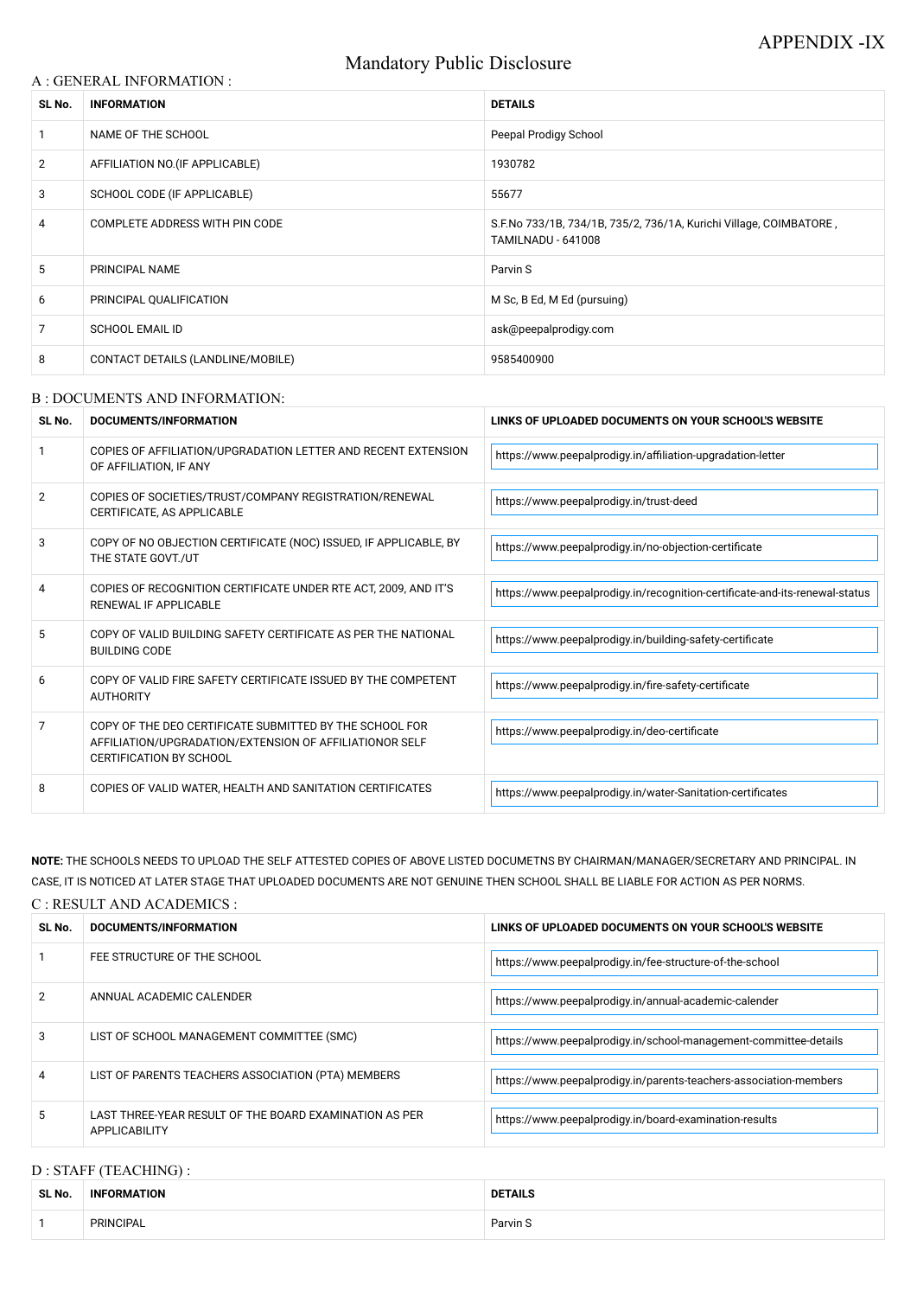# Mandatory Public Disclosure

#### A : GENERAL INFORMATION :

| SL No.         | <b>INFORMATION</b>                | <b>DETAILS</b>                                                                                  |  |
|----------------|-----------------------------------|-------------------------------------------------------------------------------------------------|--|
|                | NAME OF THE SCHOOL                | Peepal Prodigy School                                                                           |  |
| $\overline{2}$ | AFFILIATION NO. (IF APPLICABLE)   | 1930782                                                                                         |  |
| 3              | SCHOOL CODE (IF APPLICABLE)       | 55677                                                                                           |  |
| 4              | COMPLETE ADDRESS WITH PIN CODE    | S.F.No 733/1B, 734/1B, 735/2, 736/1A, Kurichi Village, COIMBATORE,<br><b>TAMILNADU - 641008</b> |  |
| 5              | PRINCIPAL NAME                    | Parvin S                                                                                        |  |
| 6              | PRINCIPAL QUALIFICATION           | M Sc, B Ed, M Ed (pursuing)                                                                     |  |
| 7              | <b>SCHOOL EMAIL ID</b>            | ask@peepalprodigy.com                                                                           |  |
| 8              | CONTACT DETAILS (LANDLINE/MOBILE) | 9585400900                                                                                      |  |

#### B : DOCUMENTS AND INFORMATION:

| SL No.         | DOCUMENTS/INFORMATION                                                                                                                                | LINKS OF UPLOADED DOCUMENTS ON YOUR SCHOOL'S WEBSITE                        |  |
|----------------|------------------------------------------------------------------------------------------------------------------------------------------------------|-----------------------------------------------------------------------------|--|
|                | COPIES OF AFFILIATION/UPGRADATION LETTER AND RECENT EXTENSION<br>OF AFFILIATION, IF ANY                                                              | https://www.peepalprodigy.in/affiliation-upgradation-letter                 |  |
| $\overline{2}$ | COPIES OF SOCIETIES/TRUST/COMPANY REGISTRATION/RENEWAL<br>CERTIFICATE, AS APPLICABLE                                                                 | https://www.peepalprodigy.in/trust-deed                                     |  |
| 3              | COPY OF NO OBJECTION CERTIFICATE (NOC) ISSUED, IF APPLICABLE, BY<br>THE STATE GOVT./UT                                                               | https://www.peepalprodigy.in/no-objection-certificate                       |  |
| 4              | COPIES OF RECOGNITION CERTIFICATE UNDER RTE ACT, 2009, AND IT'S<br>RENEWAL IF APPLICABLE                                                             | https://www.peepalprodigy.in/recognition-certificate-and-its-renewal-status |  |
| 5              | COPY OF VALID BUILDING SAFETY CERTIFICATE AS PER THE NATIONAL<br><b>BUILDING CODE</b>                                                                | https://www.peepalprodigy.in/building-safety-certificate                    |  |
| 6              | COPY OF VALID FIRE SAFETY CERTIFICATE ISSUED BY THE COMPETENT<br><b>AUTHORITY</b>                                                                    | https://www.peepalprodigy.in/fire-safety-certificate                        |  |
| $\overline{7}$ | COPY OF THE DEO CERTIFICATE SUBMITTED BY THE SCHOOL FOR<br>AFFILIATION/UPGRADATION/EXTENSION OF AFFILIATIONOR SELF<br><b>CERTIFICATION BY SCHOOL</b> | https://www.peepalprodigy.in/deo-certificate                                |  |
| 8              | COPIES OF VALID WATER, HEALTH AND SANITATION CERTIFICATES                                                                                            | https://www.peepalprodigy.in/water-Sanitation-certificates                  |  |

**NOTE:** THE SCHOOLS NEEDS TO UPLOAD THE SELF ATTESTED COPIES OF ABOVE LISTED DOCUMETNS BY CHAIRMAN/MANAGER/SECRETARY AND PRINCIPAL. IN CASE, IT IS NOTICED AT LATER STAGE THAT UPLOADED DOCUMENTS ARE NOT GENUINE THEN SCHOOL SHALL BE LIABLE FOR ACTION AS PER NORMS. C : RESULT AND ACADEMICS :

| SL No. | DOCUMENTS/INFORMATION       | LINKS OF UPLOADED DOCUMENTS ON YOUR SCHOOL'S WEBSITE     |  |
|--------|-----------------------------|----------------------------------------------------------|--|
|        | FEE STRUCTURE OF THE SCHOOL | https://www.peepalprodigy.in/fee-structure-of-the-school |  |

| 2              | ANNUAL ACADEMIC CALENDER                                                       | https://www.peepalprodigy.in/annual-academic-calender             |
|----------------|--------------------------------------------------------------------------------|-------------------------------------------------------------------|
| 3              | LIST OF SCHOOL MANAGEMENT COMMITTEE (SMC)                                      | https://www.peepalprodigy.in/school-management-committee-details  |
| $\overline{4}$ | LIST OF PARENTS TEACHERS ASSOCIATION (PTA) MEMBERS                             | https://www.peepalprodigy.in/parents-teachers-association-members |
| 5              | LAST THREE-YEAR RESULT OF THE BOARD EXAMINATION AS PER<br><b>APPLICABILITY</b> | https://www.peepalprodigy.in/board-examination-results            |

# D : STAFF (TEACHING) :

| SL No. | <b>INF</b><br><b>FORMATION</b> | <b>DETAILS</b>                                  |
|--------|--------------------------------|-------------------------------------------------|
|        | <b>PRINCIPAL</b>               | Parvin S<br>the contract of the contract of the |